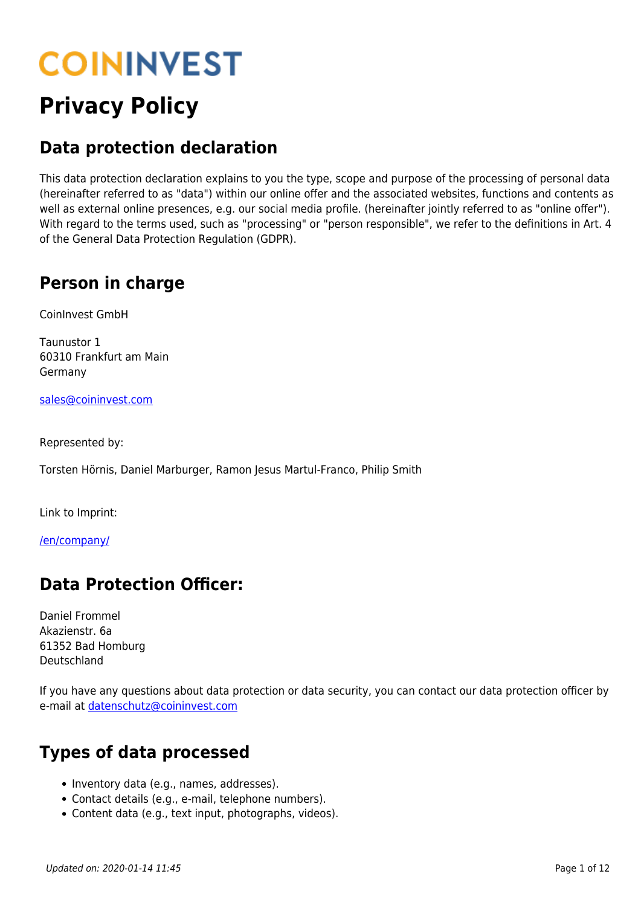# **COININVEST**

## **Privacy Policy**

#### **Data protection declaration**

This data protection declaration explains to you the type, scope and purpose of the processing of personal data (hereinafter referred to as "data") within our online offer and the associated websites, functions and contents as well as external online presences, e.g. our social media profile. (hereinafter jointly referred to as "online offer"). With regard to the terms used, such as "processing" or "person responsible", we refer to the definitions in Art. 4 of the General Data Protection Regulation (GDPR).

#### **Person in charge**

CoinInvest GmbH

Taunustor 1 60310 Frankfurt am Main Germany

[sales@coininvest.com](mailto:sales@coininvest.com)

Represented by:

Torsten Hörnis, Daniel Marburger, Ramon Jesus Martul-Franco, Philip Smith

Link to Imprint:

[/en/company/](https://www.coininvest.com/en/company/)

#### **Data Protection Officer:**

Daniel Frommel Akazienstr. 6a 61352 Bad Homburg Deutschland

If you have any questions about data protection or data security, you can contact our data protection officer by e-mail at [datenschutz@coininvest.com](mailto:datenschutz@coininvest.com)

#### **Types of data processed**

- Inventory data (e.g., names, addresses).
- Contact details (e.g., e-mail, telephone numbers).
- Content data (e.g., text input, photographs, videos).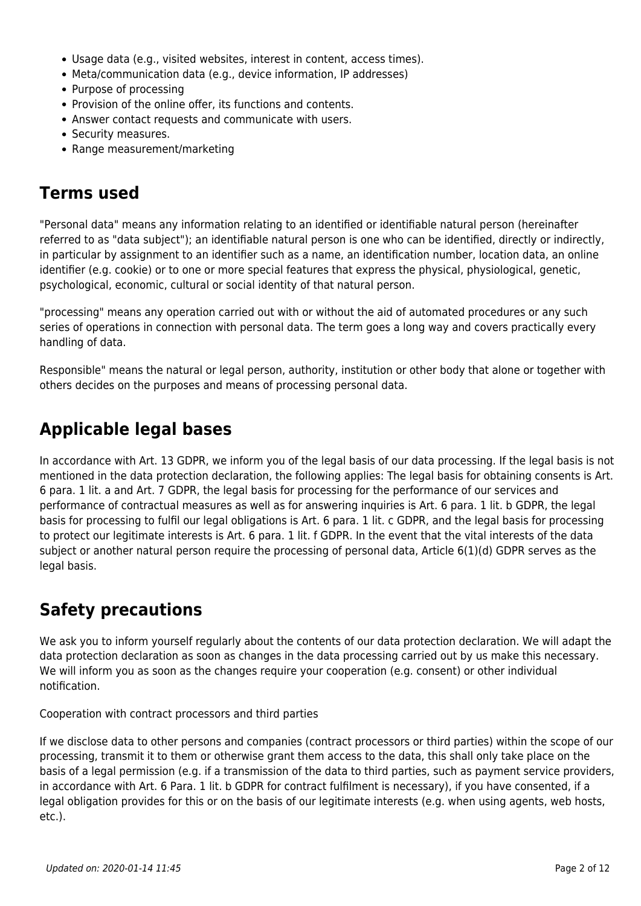- Usage data (e.g., visited websites, interest in content, access times).
- Meta/communication data (e.g., device information, IP addresses)
- Purpose of processing
- Provision of the online offer, its functions and contents.
- Answer contact requests and communicate with users.
- Security measures.
- Range measurement/marketing

#### **Terms used**

"Personal data" means any information relating to an identified or identifiable natural person (hereinafter referred to as "data subject"); an identifiable natural person is one who can be identified, directly or indirectly, in particular by assignment to an identifier such as a name, an identification number, location data, an online identifier (e.g. cookie) or to one or more special features that express the physical, physiological, genetic, psychological, economic, cultural or social identity of that natural person.

"processing" means any operation carried out with or without the aid of automated procedures or any such series of operations in connection with personal data. The term goes a long way and covers practically every handling of data.

Responsible" means the natural or legal person, authority, institution or other body that alone or together with others decides on the purposes and means of processing personal data.

#### **Applicable legal bases**

In accordance with Art. 13 GDPR, we inform you of the legal basis of our data processing. If the legal basis is not mentioned in the data protection declaration, the following applies: The legal basis for obtaining consents is Art. 6 para. 1 lit. a and Art. 7 GDPR, the legal basis for processing for the performance of our services and performance of contractual measures as well as for answering inquiries is Art. 6 para. 1 lit. b GDPR, the legal basis for processing to fulfil our legal obligations is Art. 6 para. 1 lit. c GDPR, and the legal basis for processing to protect our legitimate interests is Art. 6 para. 1 lit. f GDPR. In the event that the vital interests of the data subject or another natural person require the processing of personal data, Article 6(1)(d) GDPR serves as the legal basis.

#### **Safety precautions**

We ask you to inform yourself regularly about the contents of our data protection declaration. We will adapt the data protection declaration as soon as changes in the data processing carried out by us make this necessary. We will inform you as soon as the changes require your cooperation (e.g. consent) or other individual notification.

Cooperation with contract processors and third parties

If we disclose data to other persons and companies (contract processors or third parties) within the scope of our processing, transmit it to them or otherwise grant them access to the data, this shall only take place on the basis of a legal permission (e.g. if a transmission of the data to third parties, such as payment service providers, in accordance with Art. 6 Para. 1 lit. b GDPR for contract fulfilment is necessary), if you have consented, if a legal obligation provides for this or on the basis of our legitimate interests (e.g. when using agents, web hosts, etc.).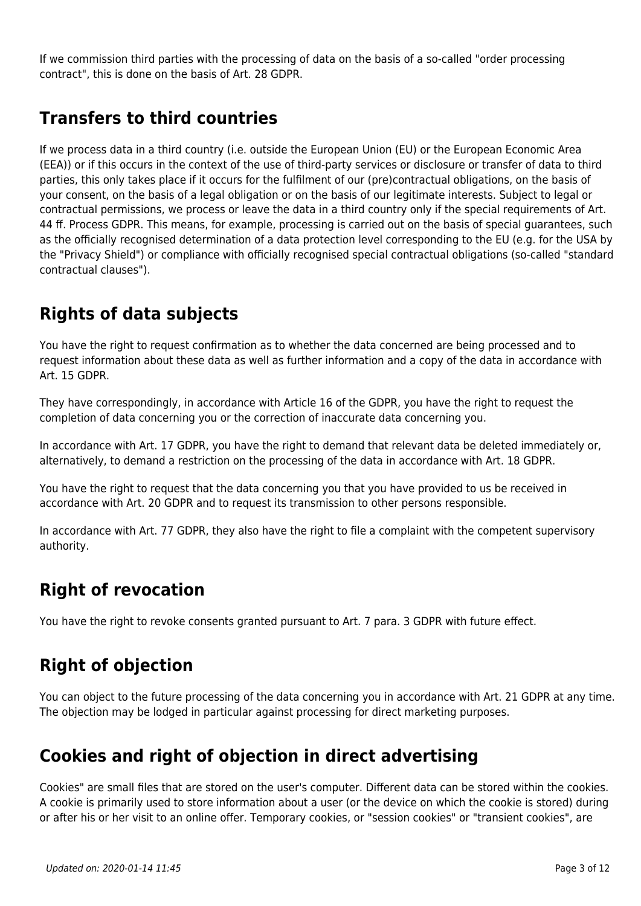If we commission third parties with the processing of data on the basis of a so-called "order processing contract", this is done on the basis of Art. 28 GDPR.

#### **Transfers to third countries**

If we process data in a third country (i.e. outside the European Union (EU) or the European Economic Area (EEA)) or if this occurs in the context of the use of third-party services or disclosure or transfer of data to third parties, this only takes place if it occurs for the fulfilment of our (pre)contractual obligations, on the basis of your consent, on the basis of a legal obligation or on the basis of our legitimate interests. Subject to legal or contractual permissions, we process or leave the data in a third country only if the special requirements of Art. 44 ff. Process GDPR. This means, for example, processing is carried out on the basis of special guarantees, such as the officially recognised determination of a data protection level corresponding to the EU (e.g. for the USA by the "Privacy Shield") or compliance with officially recognised special contractual obligations (so-called "standard contractual clauses").

#### **Rights of data subjects**

You have the right to request confirmation as to whether the data concerned are being processed and to request information about these data as well as further information and a copy of the data in accordance with Art. 15 GDPR.

They have correspondingly, in accordance with Article 16 of the GDPR, you have the right to request the completion of data concerning you or the correction of inaccurate data concerning you.

In accordance with Art. 17 GDPR, you have the right to demand that relevant data be deleted immediately or, alternatively, to demand a restriction on the processing of the data in accordance with Art. 18 GDPR.

You have the right to request that the data concerning you that you have provided to us be received in accordance with Art. 20 GDPR and to request its transmission to other persons responsible.

In accordance with Art. 77 GDPR, they also have the right to file a complaint with the competent supervisory authority.

#### **Right of revocation**

You have the right to revoke consents granted pursuant to Art. 7 para. 3 GDPR with future effect.

#### **Right of objection**

You can object to the future processing of the data concerning you in accordance with Art. 21 GDPR at any time. The objection may be lodged in particular against processing for direct marketing purposes.

#### **Cookies and right of objection in direct advertising**

Cookies" are small files that are stored on the user's computer. Different data can be stored within the cookies. A cookie is primarily used to store information about a user (or the device on which the cookie is stored) during or after his or her visit to an online offer. Temporary cookies, or "session cookies" or "transient cookies", are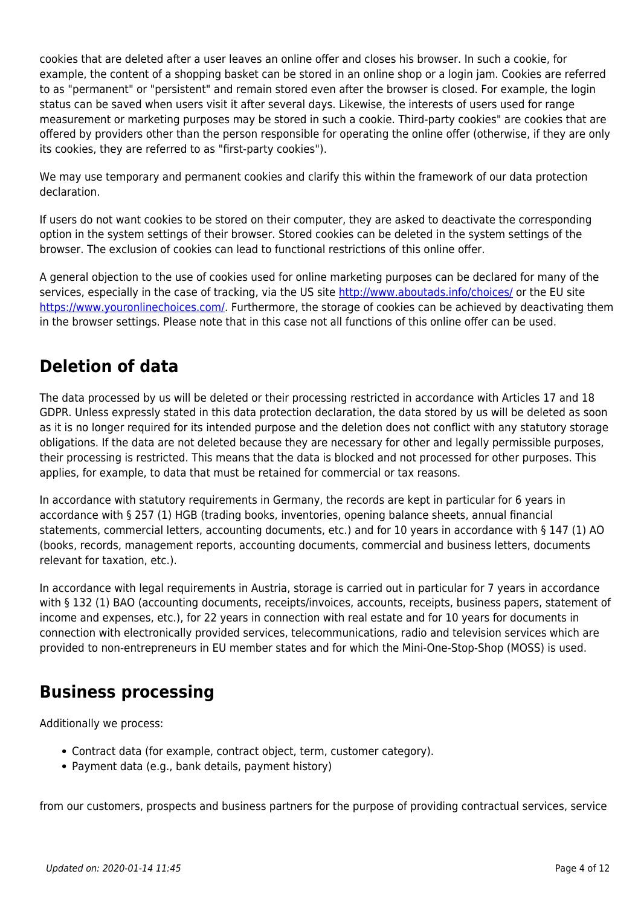cookies that are deleted after a user leaves an online offer and closes his browser. In such a cookie, for example, the content of a shopping basket can be stored in an online shop or a login jam. Cookies are referred to as "permanent" or "persistent" and remain stored even after the browser is closed. For example, the login status can be saved when users visit it after several days. Likewise, the interests of users used for range measurement or marketing purposes may be stored in such a cookie. Third-party cookies" are cookies that are offered by providers other than the person responsible for operating the online offer (otherwise, if they are only its cookies, they are referred to as "first-party cookies").

We may use temporary and permanent cookies and clarify this within the framework of our data protection declaration.

If users do not want cookies to be stored on their computer, they are asked to deactivate the corresponding option in the system settings of their browser. Stored cookies can be deleted in the system settings of the browser. The exclusion of cookies can lead to functional restrictions of this online offer.

A general objection to the use of cookies used for online marketing purposes can be declared for many of the services, especially in the case of tracking, via the US site <http://www.aboutads.info/choices/> or the EU site [https://www.youronlinechoices.com/.](https://www.youronlinechoices.com/) Furthermore, the storage of cookies can be achieved by deactivating them in the browser settings. Please note that in this case not all functions of this online offer can be used.

#### **Deletion of data**

The data processed by us will be deleted or their processing restricted in accordance with Articles 17 and 18 GDPR. Unless expressly stated in this data protection declaration, the data stored by us will be deleted as soon as it is no longer required for its intended purpose and the deletion does not conflict with any statutory storage obligations. If the data are not deleted because they are necessary for other and legally permissible purposes, their processing is restricted. This means that the data is blocked and not processed for other purposes. This applies, for example, to data that must be retained for commercial or tax reasons.

In accordance with statutory requirements in Germany, the records are kept in particular for 6 years in accordance with § 257 (1) HGB (trading books, inventories, opening balance sheets, annual financial statements, commercial letters, accounting documents, etc.) and for 10 years in accordance with § 147 (1) AO (books, records, management reports, accounting documents, commercial and business letters, documents relevant for taxation, etc.).

In accordance with legal requirements in Austria, storage is carried out in particular for 7 years in accordance with § 132 (1) BAO (accounting documents, receipts/invoices, accounts, receipts, business papers, statement of income and expenses, etc.), for 22 years in connection with real estate and for 10 years for documents in connection with electronically provided services, telecommunications, radio and television services which are provided to non-entrepreneurs in EU member states and for which the Mini-One-Stop-Shop (MOSS) is used.

#### **Business processing**

Additionally we process:

- Contract data (for example, contract object, term, customer category).
- Payment data (e.g., bank details, payment history)

from our customers, prospects and business partners for the purpose of providing contractual services, service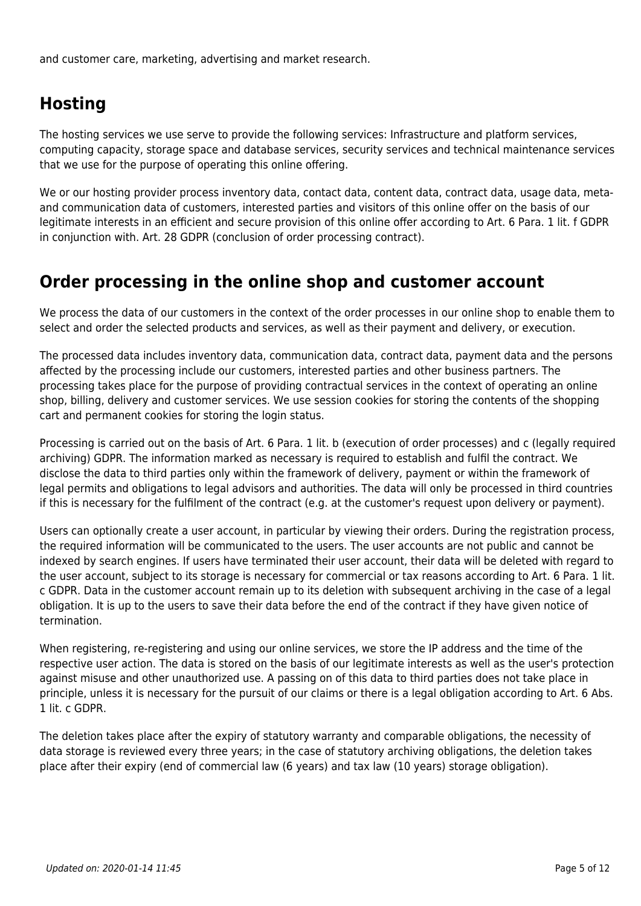and customer care, marketing, advertising and market research.

#### **Hosting**

The hosting services we use serve to provide the following services: Infrastructure and platform services, computing capacity, storage space and database services, security services and technical maintenance services that we use for the purpose of operating this online offering.

We or our hosting provider process inventory data, contact data, content data, contract data, usage data, metaand communication data of customers, interested parties and visitors of this online offer on the basis of our legitimate interests in an efficient and secure provision of this online offer according to Art. 6 Para. 1 lit. f GDPR in conjunction with. Art. 28 GDPR (conclusion of order processing contract).

#### **Order processing in the online shop and customer account**

We process the data of our customers in the context of the order processes in our online shop to enable them to select and order the selected products and services, as well as their payment and delivery, or execution.

The processed data includes inventory data, communication data, contract data, payment data and the persons affected by the processing include our customers, interested parties and other business partners. The processing takes place for the purpose of providing contractual services in the context of operating an online shop, billing, delivery and customer services. We use session cookies for storing the contents of the shopping cart and permanent cookies for storing the login status.

Processing is carried out on the basis of Art. 6 Para. 1 lit. b (execution of order processes) and c (legally required archiving) GDPR. The information marked as necessary is required to establish and fulfil the contract. We disclose the data to third parties only within the framework of delivery, payment or within the framework of legal permits and obligations to legal advisors and authorities. The data will only be processed in third countries if this is necessary for the fulfilment of the contract (e.g. at the customer's request upon delivery or payment).

Users can optionally create a user account, in particular by viewing their orders. During the registration process, the required information will be communicated to the users. The user accounts are not public and cannot be indexed by search engines. If users have terminated their user account, their data will be deleted with regard to the user account, subject to its storage is necessary for commercial or tax reasons according to Art. 6 Para. 1 lit. c GDPR. Data in the customer account remain up to its deletion with subsequent archiving in the case of a legal obligation. It is up to the users to save their data before the end of the contract if they have given notice of termination.

When registering, re-registering and using our online services, we store the IP address and the time of the respective user action. The data is stored on the basis of our legitimate interests as well as the user's protection against misuse and other unauthorized use. A passing on of this data to third parties does not take place in principle, unless it is necessary for the pursuit of our claims or there is a legal obligation according to Art. 6 Abs. 1 lit. c GDPR.

The deletion takes place after the expiry of statutory warranty and comparable obligations, the necessity of data storage is reviewed every three years; in the case of statutory archiving obligations, the deletion takes place after their expiry (end of commercial law (6 years) and tax law (10 years) storage obligation).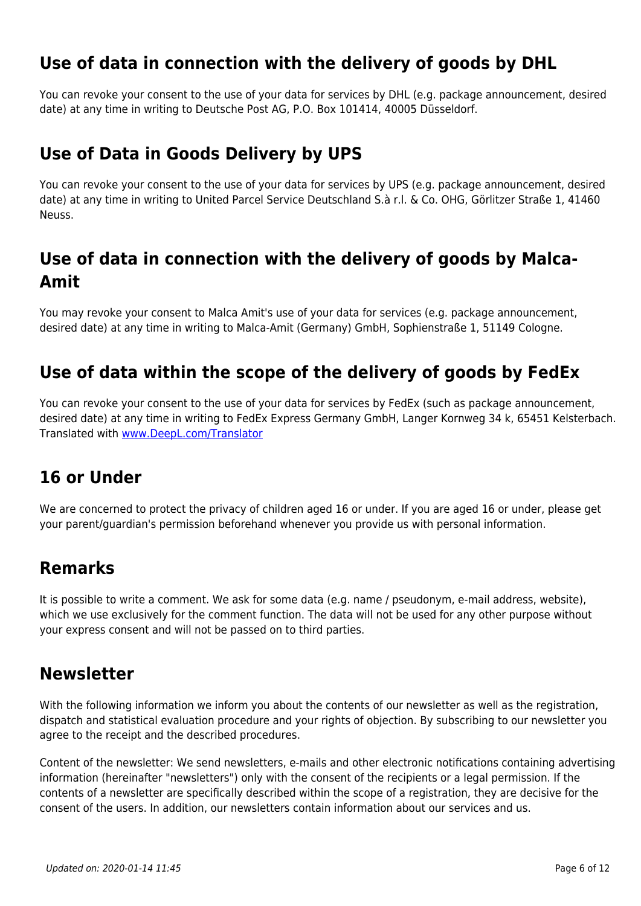#### **Use of data in connection with the delivery of goods by DHL**

You can revoke your consent to the use of your data for services by DHL (e.g. package announcement, desired date) at any time in writing to Deutsche Post AG, P.O. Box 101414, 40005 Düsseldorf.

#### **Use of Data in Goods Delivery by UPS**

You can revoke your consent to the use of your data for services by UPS (e.g. package announcement, desired date) at any time in writing to United Parcel Service Deutschland S.à r.l. & Co. OHG, Görlitzer Straße 1, 41460 Neuss.

#### **Use of data in connection with the delivery of goods by Malca-Amit**

You may revoke your consent to Malca Amit's use of your data for services (e.g. package announcement, desired date) at any time in writing to Malca-Amit (Germany) GmbH, Sophienstraße 1, 51149 Cologne.

#### **Use of data within the scope of the delivery of goods by FedEx**

You can revoke your consent to the use of your data for services by FedEx (such as package announcement, desired date) at any time in writing to FedEx Express Germany GmbH, Langer Kornweg 34 k, 65451 Kelsterbach. Translated with [www.DeepL.com/Translator](https://www.deepl.com/Translator)

#### **16 or Under**

We are concerned to protect the privacy of children aged 16 or under. If you are aged 16 or under, please get your parent/guardian's permission beforehand whenever you provide us with personal information.

#### **Remarks**

It is possible to write a comment. We ask for some data (e.g. name / pseudonym, e-mail address, website), which we use exclusively for the comment function. The data will not be used for any other purpose without your express consent and will not be passed on to third parties.

#### **Newsletter**

With the following information we inform you about the contents of our newsletter as well as the registration, dispatch and statistical evaluation procedure and your rights of objection. By subscribing to our newsletter you agree to the receipt and the described procedures.

Content of the newsletter: We send newsletters, e-mails and other electronic notifications containing advertising information (hereinafter "newsletters") only with the consent of the recipients or a legal permission. If the contents of a newsletter are specifically described within the scope of a registration, they are decisive for the consent of the users. In addition, our newsletters contain information about our services and us.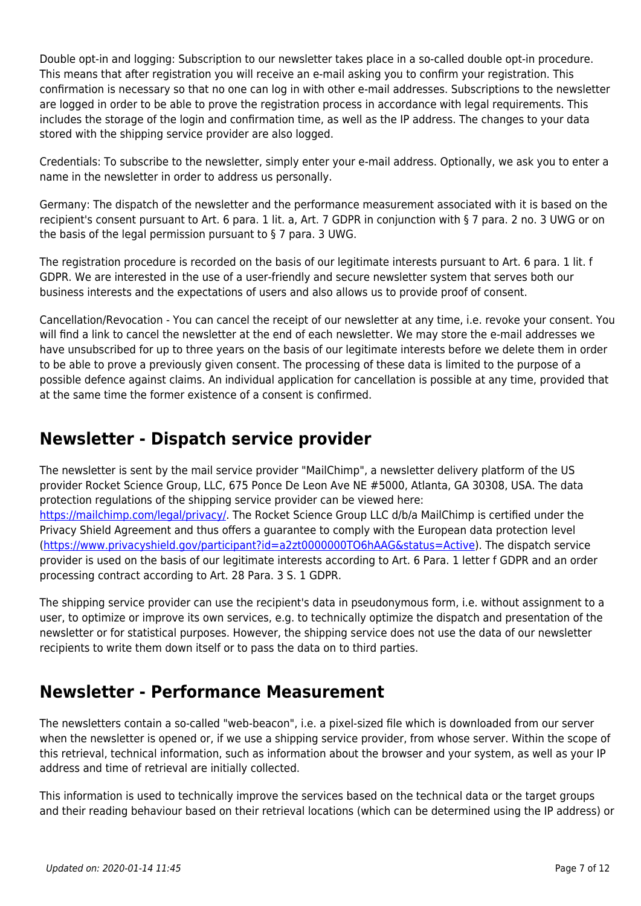Double opt-in and logging: Subscription to our newsletter takes place in a so-called double opt-in procedure. This means that after registration you will receive an e-mail asking you to confirm your registration. This confirmation is necessary so that no one can log in with other e-mail addresses. Subscriptions to the newsletter are logged in order to be able to prove the registration process in accordance with legal requirements. This includes the storage of the login and confirmation time, as well as the IP address. The changes to your data stored with the shipping service provider are also logged.

Credentials: To subscribe to the newsletter, simply enter your e-mail address. Optionally, we ask you to enter a name in the newsletter in order to address us personally.

Germany: The dispatch of the newsletter and the performance measurement associated with it is based on the recipient's consent pursuant to Art. 6 para. 1 lit. a, Art. 7 GDPR in conjunction with § 7 para. 2 no. 3 UWG or on the basis of the legal permission pursuant to § 7 para. 3 UWG.

The registration procedure is recorded on the basis of our legitimate interests pursuant to Art. 6 para. 1 lit. f GDPR. We are interested in the use of a user-friendly and secure newsletter system that serves both our business interests and the expectations of users and also allows us to provide proof of consent.

Cancellation/Revocation - You can cancel the receipt of our newsletter at any time, i.e. revoke your consent. You will find a link to cancel the newsletter at the end of each newsletter. We may store the e-mail addresses we have unsubscribed for up to three years on the basis of our legitimate interests before we delete them in order to be able to prove a previously given consent. The processing of these data is limited to the purpose of a possible defence against claims. An individual application for cancellation is possible at any time, provided that at the same time the former existence of a consent is confirmed.

#### **Newsletter - Dispatch service provider**

The newsletter is sent by the mail service provider "MailChimp", a newsletter delivery platform of the US provider Rocket Science Group, LLC, 675 Ponce De Leon Ave NE #5000, Atlanta, GA 30308, USA. The data protection regulations of the shipping service provider can be viewed here:

<https://mailchimp.com/legal/privacy/>. The Rocket Science Group LLC d/b/a MailChimp is certified under the Privacy Shield Agreement and thus offers a guarantee to comply with the European data protection level (<https://www.privacyshield.gov/participant?id=a2zt0000000TO6hAAG&status=Active>). The dispatch service provider is used on the basis of our legitimate interests according to Art. 6 Para. 1 letter f GDPR and an order processing contract according to Art. 28 Para. 3 S. 1 GDPR.

The shipping service provider can use the recipient's data in pseudonymous form, i.e. without assignment to a user, to optimize or improve its own services, e.g. to technically optimize the dispatch and presentation of the newsletter or for statistical purposes. However, the shipping service does not use the data of our newsletter recipients to write them down itself or to pass the data on to third parties.

#### **Newsletter - Performance Measurement**

The newsletters contain a so-called "web-beacon", i.e. a pixel-sized file which is downloaded from our server when the newsletter is opened or, if we use a shipping service provider, from whose server. Within the scope of this retrieval, technical information, such as information about the browser and your system, as well as your IP address and time of retrieval are initially collected.

This information is used to technically improve the services based on the technical data or the target groups and their reading behaviour based on their retrieval locations (which can be determined using the IP address) or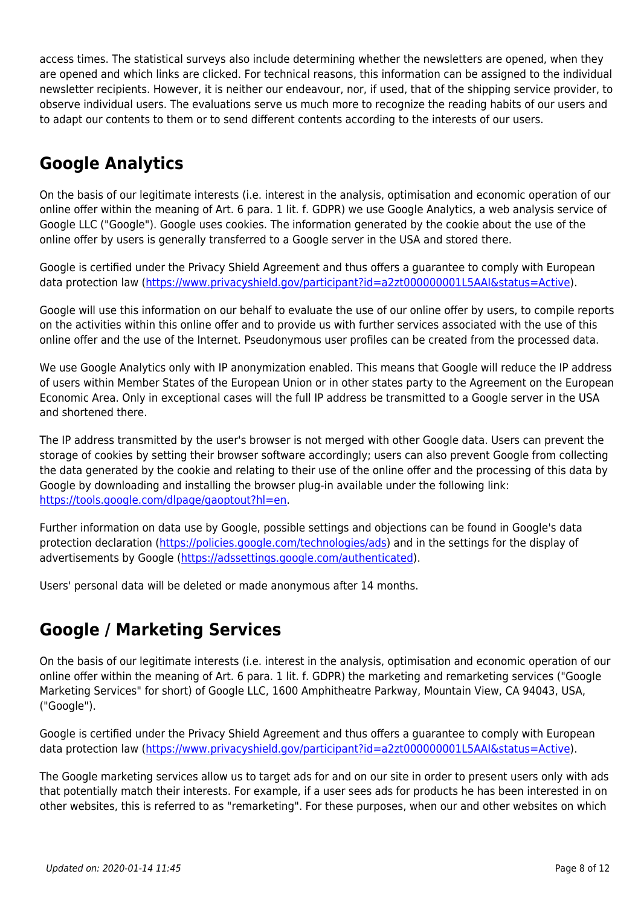access times. The statistical surveys also include determining whether the newsletters are opened, when they are opened and which links are clicked. For technical reasons, this information can be assigned to the individual newsletter recipients. However, it is neither our endeavour, nor, if used, that of the shipping service provider, to observe individual users. The evaluations serve us much more to recognize the reading habits of our users and to adapt our contents to them or to send different contents according to the interests of our users.

### **Google Analytics**

On the basis of our legitimate interests (i.e. interest in the analysis, optimisation and economic operation of our online offer within the meaning of Art. 6 para. 1 lit. f. GDPR) we use Google Analytics, a web analysis service of Google LLC ("Google"). Google uses cookies. The information generated by the cookie about the use of the online offer by users is generally transferred to a Google server in the USA and stored there.

Google is certified under the Privacy Shield Agreement and thus offers a guarantee to comply with European data protection law [\(https://www.privacyshield.gov/participant?id=a2zt000000001L5AAI&status=Active\)](https://www.privacyshield.gov/participant?id=a2zt0000000TO6hAAG&status=Active).

Google will use this information on our behalf to evaluate the use of our online offer by users, to compile reports on the activities within this online offer and to provide us with further services associated with the use of this online offer and the use of the Internet. Pseudonymous user profiles can be created from the processed data.

We use Google Analytics only with IP anonymization enabled. This means that Google will reduce the IP address of users within Member States of the European Union or in other states party to the Agreement on the European Economic Area. Only in exceptional cases will the full IP address be transmitted to a Google server in the USA and shortened there.

The IP address transmitted by the user's browser is not merged with other Google data. Users can prevent the storage of cookies by setting their browser software accordingly; users can also prevent Google from collecting the data generated by the cookie and relating to their use of the online offer and the processing of this data by Google by downloading and installing the browser plug-in available under the following link: <https://tools.google.com/dlpage/gaoptout?hl=en>.

Further information on data use by Google, possible settings and objections can be found in Google's data protection declaration [\(https://policies.google.com/technologies/ads](https://policies.google.com/technologies/ads)) and in the settings for the display of advertisements by Google [\(https://adssettings.google.com/authenticated\)](https://adssettings.google.com/authenticated).

Users' personal data will be deleted or made anonymous after 14 months.

#### **Google / Marketing Services**

On the basis of our legitimate interests (i.e. interest in the analysis, optimisation and economic operation of our online offer within the meaning of Art. 6 para. 1 lit. f. GDPR) the marketing and remarketing services ("Google Marketing Services" for short) of Google LLC, 1600 Amphitheatre Parkway, Mountain View, CA 94043, USA, ("Google").

Google is certified under the Privacy Shield Agreement and thus offers a guarantee to comply with European data protection law [\(https://www.privacyshield.gov/participant?id=a2zt000000001L5AAI&status=Active\)](https://www.privacyshield.gov/participant?id=a2zt0000000TO6hAAG&status=Active).

The Google marketing services allow us to target ads for and on our site in order to present users only with ads that potentially match their interests. For example, if a user sees ads for products he has been interested in on other websites, this is referred to as "remarketing". For these purposes, when our and other websites on which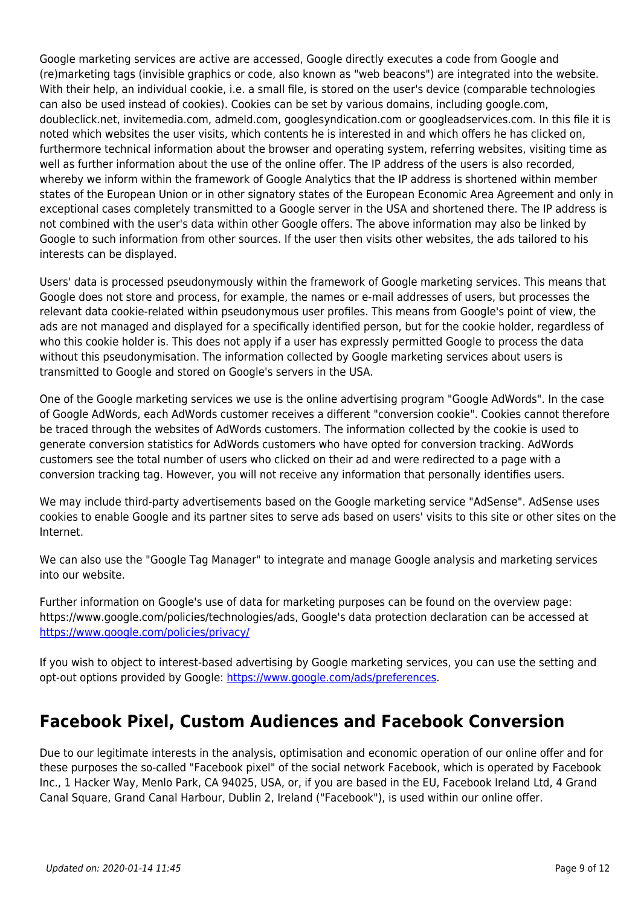Google marketing services are active are accessed, Google directly executes a code from Google and (re)marketing tags (invisible graphics or code, also known as "web beacons") are integrated into the website. With their help, an individual cookie, i.e. a small file, is stored on the user's device (comparable technologies can also be used instead of cookies). Cookies can be set by various domains, including google.com, doubleclick.net, invitemedia.com, admeld.com, googlesyndication.com or googleadservices.com. In this file it is noted which websites the user visits, which contents he is interested in and which offers he has clicked on, furthermore technical information about the browser and operating system, referring websites, visiting time as well as further information about the use of the online offer. The IP address of the users is also recorded, whereby we inform within the framework of Google Analytics that the IP address is shortened within member states of the European Union or in other signatory states of the European Economic Area Agreement and only in exceptional cases completely transmitted to a Google server in the USA and shortened there. The IP address is not combined with the user's data within other Google offers. The above information may also be linked by Google to such information from other sources. If the user then visits other websites, the ads tailored to his interests can be displayed.

Users' data is processed pseudonymously within the framework of Google marketing services. This means that Google does not store and process, for example, the names or e-mail addresses of users, but processes the relevant data cookie-related within pseudonymous user profiles. This means from Google's point of view, the ads are not managed and displayed for a specifically identified person, but for the cookie holder, regardless of who this cookie holder is. This does not apply if a user has expressly permitted Google to process the data without this pseudonymisation. The information collected by Google marketing services about users is transmitted to Google and stored on Google's servers in the USA.

One of the Google marketing services we use is the online advertising program "Google AdWords". In the case of Google AdWords, each AdWords customer receives a different "conversion cookie". Cookies cannot therefore be traced through the websites of AdWords customers. The information collected by the cookie is used to generate conversion statistics for AdWords customers who have opted for conversion tracking. AdWords customers see the total number of users who clicked on their ad and were redirected to a page with a conversion tracking tag. However, you will not receive any information that personally identifies users.

We may include third-party advertisements based on the Google marketing service "AdSense". AdSense uses cookies to enable Google and its partner sites to serve ads based on users' visits to this site or other sites on the Internet.

We can also use the "Google Tag Manager" to integrate and manage Google analysis and marketing services into our website.

Further information on Google's use of data for marketing purposes can be found on the overview page: https://www.google.com/policies/technologies/ads, Google's data protection declaration can be accessed at <https://www.google.com/policies/privacy/>

If you wish to object to interest-based advertising by Google marketing services, you can use the setting and opt-out options provided by Google: <https://www.google.com/ads/preferences>.

#### **Facebook Pixel, Custom Audiences and Facebook Conversion**

Due to our legitimate interests in the analysis, optimisation and economic operation of our online offer and for these purposes the so-called "Facebook pixel" of the social network Facebook, which is operated by Facebook Inc., 1 Hacker Way, Menlo Park, CA 94025, USA, or, if you are based in the EU, Facebook Ireland Ltd, 4 Grand Canal Square, Grand Canal Harbour, Dublin 2, Ireland ("Facebook"), is used within our online offer.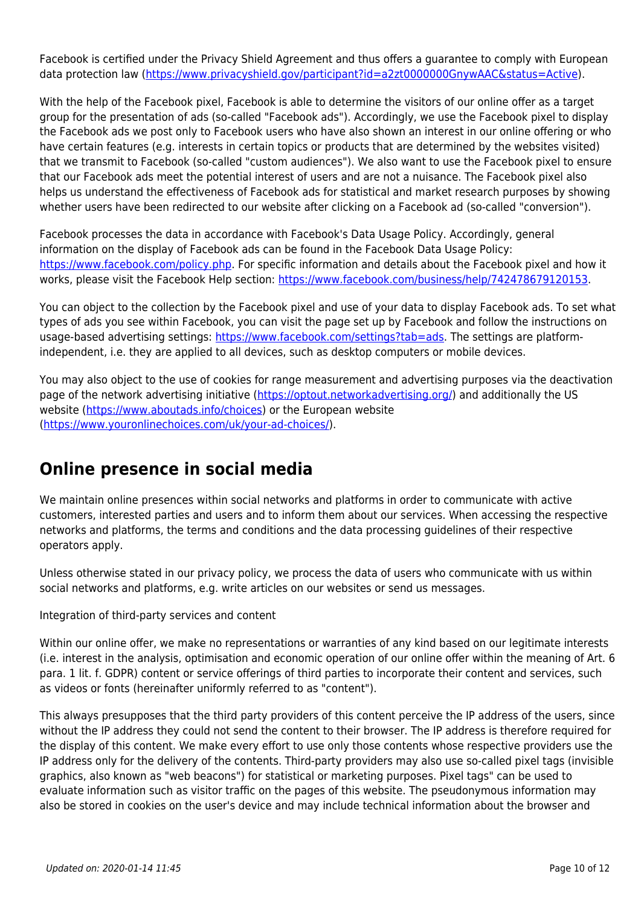Facebook is certified under the Privacy Shield Agreement and thus offers a guarantee to comply with European data protection law [\(https://www.privacyshield.gov/participant?id=a2zt0000000GnywAAC&status=Active\)](https://www.privacyshield.gov/participant?id=a2zt0000000GnywAAC&status=Active).

With the help of the Facebook pixel, Facebook is able to determine the visitors of our online offer as a target group for the presentation of ads (so-called "Facebook ads"). Accordingly, we use the Facebook pixel to display the Facebook ads we post only to Facebook users who have also shown an interest in our online offering or who have certain features (e.g. interests in certain topics or products that are determined by the websites visited) that we transmit to Facebook (so-called "custom audiences"). We also want to use the Facebook pixel to ensure that our Facebook ads meet the potential interest of users and are not a nuisance. The Facebook pixel also helps us understand the effectiveness of Facebook ads for statistical and market research purposes by showing whether users have been redirected to our website after clicking on a Facebook ad (so-called "conversion").

Facebook processes the data in accordance with Facebook's Data Usage Policy. Accordingly, general information on the display of Facebook ads can be found in the Facebook Data Usage Policy: <https://www.facebook.com/policy.php>. For specific information and details about the Facebook pixel and how it works, please visit the Facebook Help section: <https://www.facebook.com/business/help/742478679120153>.

You can object to the collection by the Facebook pixel and use of your data to display Facebook ads. To set what types of ads you see within Facebook, you can visit the page set up by Facebook and follow the instructions on usage-based advertising settings:<https://www.facebook.com/settings?tab=ads>. The settings are platformindependent, i.e. they are applied to all devices, such as desktop computers or mobile devices.

You may also object to the use of cookies for range measurement and advertising purposes via the deactivation page of the network advertising initiative [\(https://optout.networkadvertising.org/](https://optout.networkadvertising.org/)) and additionally the US website [\(https://www.aboutads.info/choices\)](https://www.aboutads.info/choices) or the European website ([https://www.youronlinechoices.com/uk/your-ad-choices/\)](https://www.youronlinechoices.com/uk/your-ad-choices/).

#### **Online presence in social media**

We maintain online presences within social networks and platforms in order to communicate with active customers, interested parties and users and to inform them about our services. When accessing the respective networks and platforms, the terms and conditions and the data processing guidelines of their respective operators apply.

Unless otherwise stated in our privacy policy, we process the data of users who communicate with us within social networks and platforms, e.g. write articles on our websites or send us messages.

Integration of third-party services and content

Within our online offer, we make no representations or warranties of any kind based on our legitimate interests (i.e. interest in the analysis, optimisation and economic operation of our online offer within the meaning of Art. 6 para. 1 lit. f. GDPR) content or service offerings of third parties to incorporate their content and services, such as videos or fonts (hereinafter uniformly referred to as "content").

This always presupposes that the third party providers of this content perceive the IP address of the users, since without the IP address they could not send the content to their browser. The IP address is therefore required for the display of this content. We make every effort to use only those contents whose respective providers use the IP address only for the delivery of the contents. Third-party providers may also use so-called pixel tags (invisible graphics, also known as "web beacons") for statistical or marketing purposes. Pixel tags" can be used to evaluate information such as visitor traffic on the pages of this website. The pseudonymous information may also be stored in cookies on the user's device and may include technical information about the browser and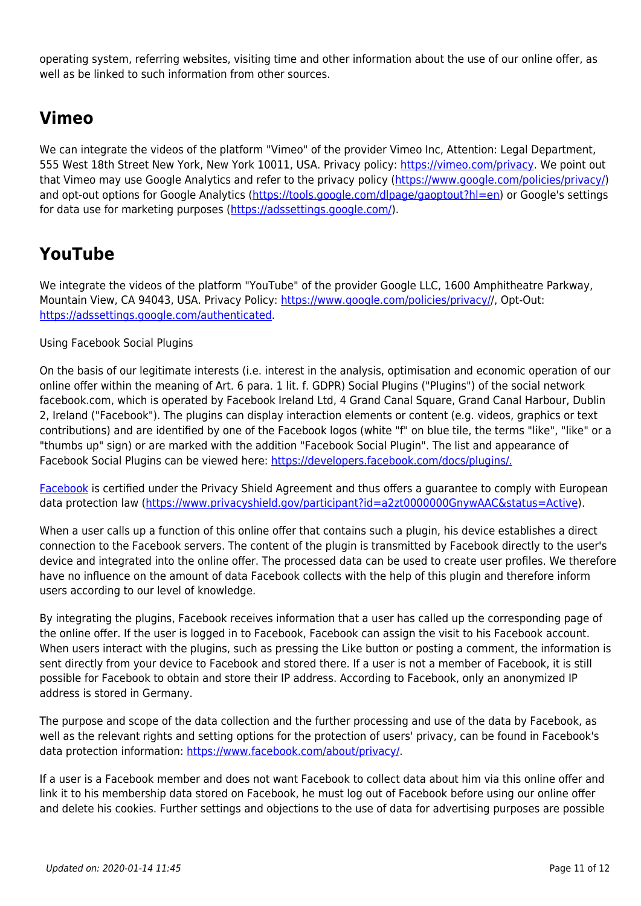operating system, referring websites, visiting time and other information about the use of our online offer, as well as be linked to such information from other sources.

#### **Vimeo**

We can integrate the videos of the platform "Vimeo" of the provider Vimeo Inc, Attention: Legal Department, 555 West 18th Street New York, New York 10011, USA. Privacy policy: [https://vimeo.com/privacy.](https://vimeo.com/privacy) We point out that Vimeo may use Google Analytics and refer to the privacy policy [\(https://www.google.com/policies/privacy/](https://www.google.com/policies/privacy/)) and opt-out options for Google Analytics (<https://tools.google.com/dlpage/gaoptout?hl=en>) or Google's settings for data use for marketing purposes [\(https://adssettings.google.com/\)](https://adssettings.google.com/).

#### **YouTube**

We integrate the videos of the platform "YouTube" of the provider Google LLC, 1600 Amphitheatre Parkway, Mountain View, CA 94043, USA. Privacy Policy: [https://www.google.com/policies/privacy//](https://www.google.com/policies/privacy/), Opt-Out: [https://adssettings.google.com/authenticated.](https://adssettings.google.com/authenticated)

#### Using Facebook Social Plugins

On the basis of our legitimate interests (i.e. interest in the analysis, optimisation and economic operation of our online offer within the meaning of Art. 6 para. 1 lit. f. GDPR) Social Plugins ("Plugins") of the social network facebook.com, which is operated by Facebook Ireland Ltd, 4 Grand Canal Square, Grand Canal Harbour, Dublin 2, Ireland ("Facebook"). The plugins can display interaction elements or content (e.g. videos, graphics or text contributions) and are identified by one of the Facebook logos (white "f" on blue tile, the terms "like", "like" or a "thumbs up" sign) or are marked with the addition "Facebook Social Plugin". The list and appearance of Facebook Social Plugins can be viewed here: [https://developers.facebook.com/docs/plugins/.](https://developers.facebook.com/docs/plugins/)

[Facebook](https://developers.facebook.com/docs/plugins/) is certified under the Privacy Shield Agreement and thus offers a guarantee to comply with European data protection law [\(https://www.privacyshield.gov/participant?id=a2zt0000000GnywAAC&status=Active\)](https://www.privacyshield.gov/participant?id=a2zt0000000GnywAAC&status=Active).

When a user calls up a function of this online offer that contains such a plugin, his device establishes a direct connection to the Facebook servers. The content of the plugin is transmitted by Facebook directly to the user's device and integrated into the online offer. The processed data can be used to create user profiles. We therefore have no influence on the amount of data Facebook collects with the help of this plugin and therefore inform users according to our level of knowledge.

By integrating the plugins, Facebook receives information that a user has called up the corresponding page of the online offer. If the user is logged in to Facebook, Facebook can assign the visit to his Facebook account. When users interact with the plugins, such as pressing the Like button or posting a comment, the information is sent directly from your device to Facebook and stored there. If a user is not a member of Facebook, it is still possible for Facebook to obtain and store their IP address. According to Facebook, only an anonymized IP address is stored in Germany.

The purpose and scope of the data collection and the further processing and use of the data by Facebook, as well as the relevant rights and setting options for the protection of users' privacy, can be found in Facebook's data protection information:<https://www.facebook.com/about/privacy/>.

If a user is a Facebook member and does not want Facebook to collect data about him via this online offer and link it to his membership data stored on Facebook, he must log out of Facebook before using our online offer and delete his cookies. Further settings and objections to the use of data for advertising purposes are possible